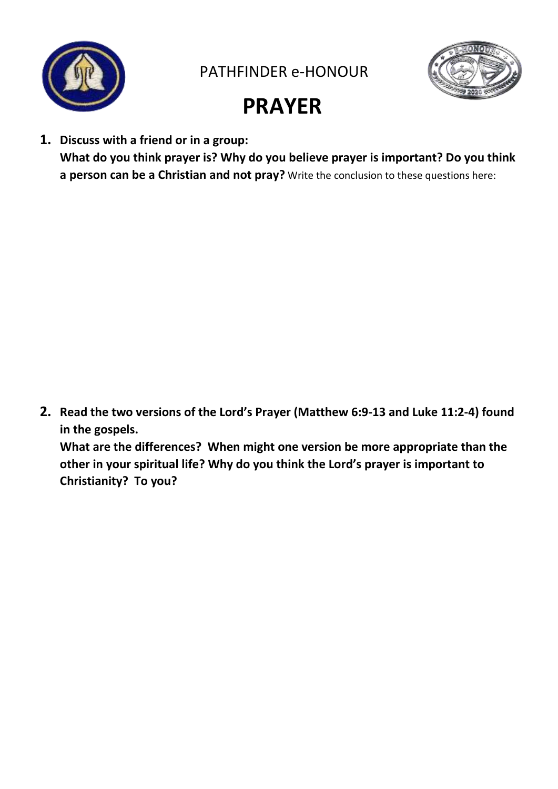

PATHFINDER e-HONOUR



## **PRAYER**

**1. Discuss with a friend or in a group: What do you think prayer is? Why do you believe prayer is important? Do you think a person can be a Christian and not pray?** Write the conclusion to these questions here:

**2. Read the two versions of the Lord's Prayer (Matthew 6:9-13 and Luke 11:2-4) found in the gospels.**

**What are the differences? When might one version be more appropriate than the other in your spiritual life? Why do you think the Lord's prayer is important to Christianity? To you?**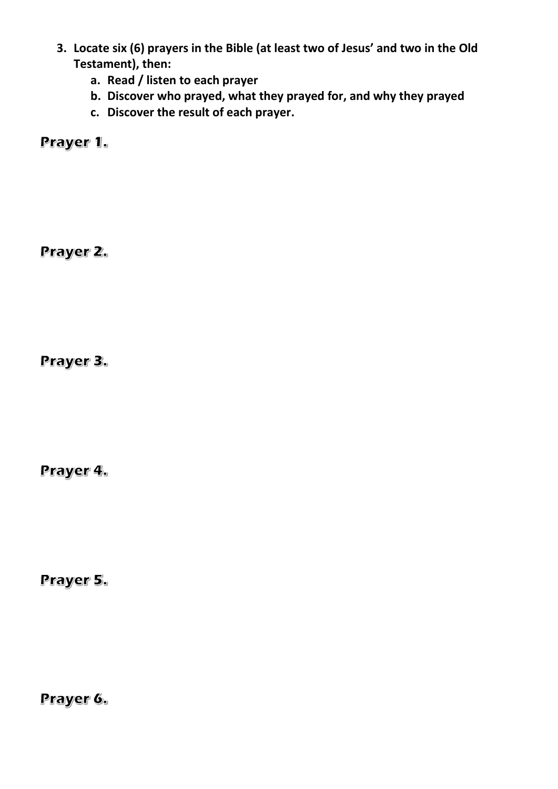- **3. Locate six (6) prayers in the Bible (at least two of Jesus' and two in the Old Testament), then:**
	- **a. Read / listen to each prayer**
	- **b. Discover who prayed, what they prayed for, and why they prayed**
	- **c. Discover the result of each prayer.**

Prayer 1.

Prayer 2.

Prayer 3.

Prayer 4.

Prayer 5.

Prayer 6.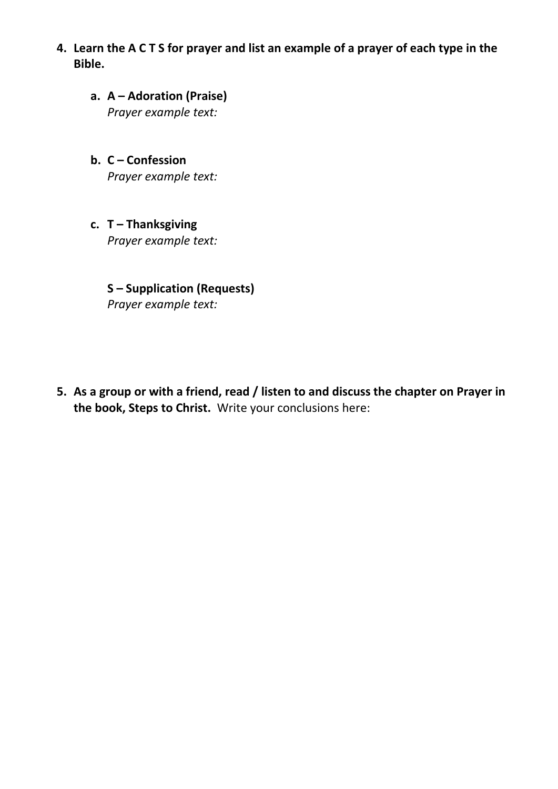- **4. Learn the A C T S for prayer and list an example of a prayer of each type in the Bible.**
	- **a. A – Adoration (Praise)** *Prayer example text:*
	- **b. C – Confession** *Prayer example text:*
	- **c. T – Thanksgiving** *Prayer example text:*

**S – Supplication (Requests)** *Prayer example text:*

**5. As a group or with a friend, read / listen to and discuss the chapter on Prayer in the book, Steps to Christ.** Write your conclusions here: